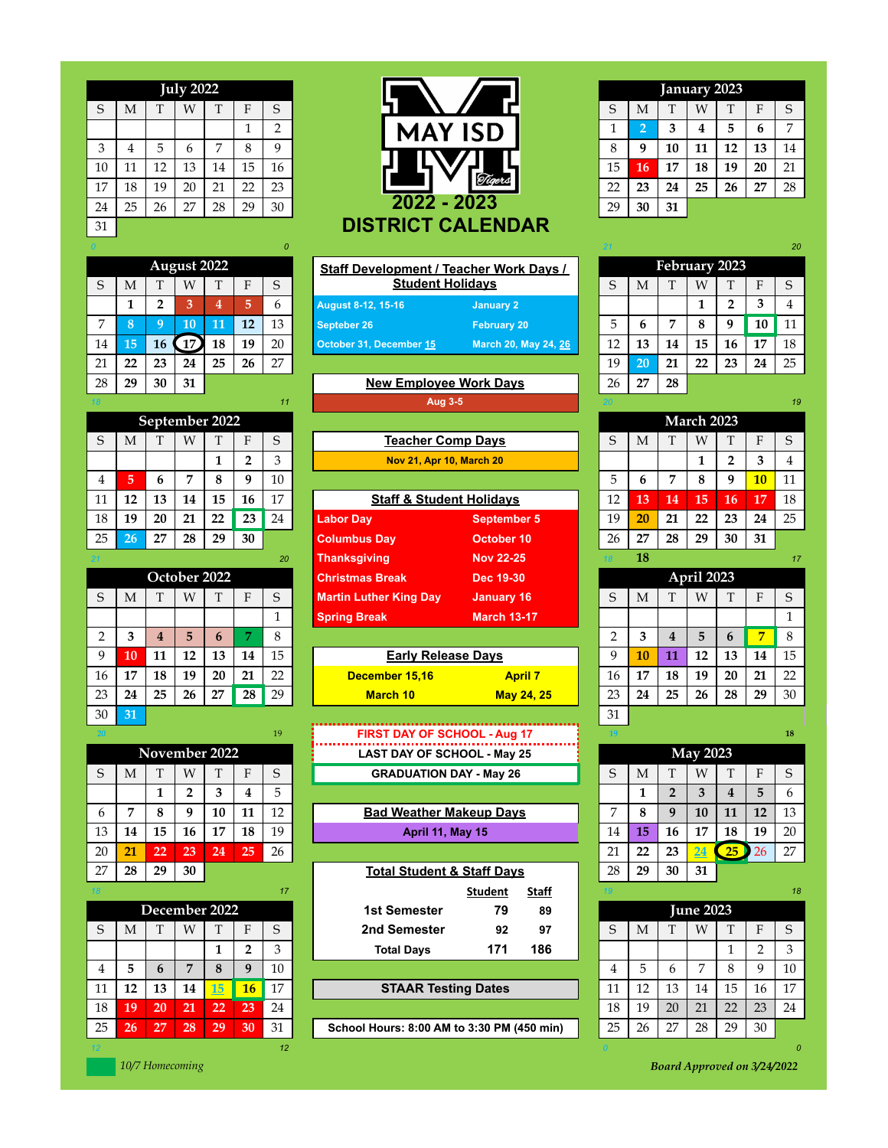|             |    |    | <b>July 2022</b> |    |    |                |
|-------------|----|----|------------------|----|----|----------------|
| $\mathsf S$ | M  | T  | W                | T  | F  | S              |
|             |    |    |                  |    | 1  | $\overline{2}$ |
| 3           | 4  | 5  | 6                | 7  | 8  | 9              |
| 10          | 11 | 12 | 13               | 14 | 15 | 16             |
| 17          | 18 | 19 | 20               | 21 | 22 | 23             |
| 24          | 25 | 26 | 27               | 28 | 29 | 30             |
| 31          |    |    |                  |    |    |                |

|             |    |                | <b>August 2022</b> |                |    |    |
|-------------|----|----------------|--------------------|----------------|----|----|
| $\mathsf S$ | M  | T              | W                  | T              | F  | S  |
|             | 1  | $\overline{2}$ | 3                  | $\overline{4}$ | 5  | 6  |
| 7           | 8  | 9              | 10                 | 11             | 12 | 13 |
| 14          | 15 | 16             | 17                 | 18             | 19 | 20 |
| 21          | 22 | 23             | 24                 | 25             | 26 | 27 |
| 28          | 29 | 30             | 31                 |                |    |    |

|                |    |    | September 2022 |    |                |    |
|----------------|----|----|----------------|----|----------------|----|
| S              | M  | T  | Ŵ              | T  | F              | S  |
|                |    |    |                | 1  | $\overline{2}$ | 3  |
| $\overline{4}$ | 5  | 6  | 7              | 8  | 9              | 10 |
| 11             | 12 | 13 | 14             | 15 | 16             | 17 |
| 18             | 19 | 20 | 21             | 22 | 23             | 24 |
| 25             | 26 | 27 | 28             | 29 | 30             |    |

|                |    |    |    | October 2022 |    |    | <b>Christmas Break</b>        | Dec 19-30          |               |
|----------------|----|----|----|--------------|----|----|-------------------------------|--------------------|---------------|
| S              | Μ  | T  | W  | T            | F  | S  | <b>Martin Luther King Day</b> | January 16         | S             |
|                |    |    |    |              |    |    | <b>Spring Break</b>           | <b>March 13-17</b> |               |
| $\overline{2}$ | 3  | 4  | 5  | 6            | 7  | 8  |                               |                    | $\mathcal{D}$ |
| 9              | 10 | 11 | 12 | 13           | 14 | 15 | <b>Early Release Days</b>     |                    | 9             |
| 16             | 17 | 18 | 19 | 20           | 21 | 22 | December 15,16                | <b>April 7</b>     | 16            |
| 23             | 24 | 25 | 26 | 27           | 28 | 29 | <b>March 10</b>               | <b>May 24, 25</b>  | 23            |
| 30             | 31 |    |    |              |    |    |                               |                    | 31            |

| <b>24.UI</b> |    |    |               |    |    | . . |
|--------------|----|----|---------------|----|----|-----|
|              |    |    | November 2022 |    |    |     |
| S            | M  | T  | Ŵ             | T  | F  | S   |
|              |    | 1  | 2             | 3  | 4  | 5   |
| 6            | 7  | 8  | 9             | 10 | 11 | 12  |
| 13           | 14 | 15 | 16            | 17 | 18 | 19  |
| 20           | 21 | 22 | 23            | 24 | 25 | 26  |
| 27           | 28 | 29 | 30            |    |    |     |

|    |    |             |                |           |                 |    | -------                                    | $- - - -$ |    |    |              |                  |    |             |    |
|----|----|-------------|----------------|-----------|-----------------|----|--------------------------------------------|-----------|----|----|--------------|------------------|----|-------------|----|
|    |    |             | December 2022  |           |                 |    | 79<br>1st Semester                         | 89        |    |    |              | <b>June 2023</b> |    |             |    |
| S  | M  |             | W              |           |                 |    | 2nd Semester<br>92                         | 97        | S  | M  |              | W                |    |             | S  |
|    |    |             |                |           |                 |    | 171<br><b>Total Days</b>                   | 186       |    |    |              |                  |    |             | 3  |
| 4  | 5  | $\mathbf b$ | $\overline{ }$ | 8         | 9               | 10 |                                            |           | 4  | 5  | <sub>b</sub> | $\overline{ }$   | 8  | $\mathbf Q$ | 10 |
| 11 | 12 | 13          | 14             | <b>15</b> | 16              | 17 | <b>STAAR Testing Dates</b>                 |           | 11 | 12 | 13           | 14               | 15 | 16          | 17 |
| 18 | 19 | 20          | 21             | 22        | 23              | 24 |                                            |           | 18 | 19 | 20           | 21               | 22 | 23          | 24 |
| 25 | 26 | 27          | 28             | 29        | 30 <sub>1</sub> | 31 | School Hours: 8:00 AM to 3:30 PM (450 min) |           | 25 | 26 | 27           | 28               | 29 | 30          |    |
|    |    |             |                |           |                 | 12 |                                            |           |    |    |              |                  |    |             | 0  |

**July 2022 January 2023**  $S \mid M \mid T \mid W \mid T \mid F \mid S$  and  $\blacksquare$ **MAY ISD** 3 4 5 6 7 8 9 **FOR TWO THE 3** 8 9 10 11 12 13 14 10 | 11 | 12 | 13 | 14 | 15 | 16 **| 16 | 17 | 17 | 18 | 17 | 18 | 19 | 20** | 21 **2022 - 2023** 24 25 26 27 28 29 30 29 **30 31 DISTRICT CALENDAR**

|                |    |                | <b>August 2022</b> |    |    |    | <b>Staff Development / Teacher Work Days /</b> |                      |    |    |    | February 2023     |    |    |               |
|----------------|----|----------------|--------------------|----|----|----|------------------------------------------------|----------------------|----|----|----|-------------------|----|----|---------------|
| S              | M  |                | W                  |    | F  | S  | <b>Student Holidays</b>                        |                      | S  | M  |    | W                 |    | F  | S             |
|                |    | ◠              | 3                  | 4  | 5  | h  | <b>August 8-12, 15-16</b>                      | <b>January 2</b>     |    |    |    |                   |    | 3  | 4             |
| $\overline{7}$ | 8  |                | 10                 | 11 | 12 | 13 | Septeber 26                                    | <b>February 20</b>   | 5  | h  | ▼  | 8                 | 9  | 10 | 11            |
| 14             | 15 | 16             | $\left(17\right)$  | 18 | 19 | 20 | October 31, December 15                        | March 20, May 24, 26 | 12 | 13 | 14 | 15                | 16 | 17 | 18            |
| 21             | 22 | 23             | 24                 | 25 | 26 | 27 |                                                |                      | 19 | 20 | 21 | 22                | 23 | 24 | 25            |
| 28             | 29 | 30             | 31                 |    |    |    | <b>New Employee Work Days</b>                  |                      | 26 | 27 | 28 |                   |    |    |               |
|                |    |                |                    |    |    | 11 | <b>Aug 3-5</b>                                 |                      |    |    |    |                   |    |    | 19            |
|                |    | September 2022 |                    |    |    |    |                                                |                      |    |    |    | <b>March 2023</b> |    |    |               |
| S              | М  |                | W                  |    |    | S  | <b>Teacher Comp Days</b>                       |                      | S  | М  |    | W                 |    |    | $\mathcal{S}$ |

| 17<br>18 |
|----------|
| 25<br>24 |
| 31       |
| 17       |
|          |
| S<br>Ħ   |
|          |
|          |

| a  | $\sim$ $\sim$ | -11<br>л. | $\sim$<br> | 10<br>⊥∪             | 14      | $1\overline{5}$<br>⊥◡ | <b>Early Release Davs</b> |                   |          | 10                    | $\sim$<br>. | <b>10</b><br> | 12<br>⊥∪ | 14        | 15 |
|----|---------------|-----------|------------|----------------------|---------|-----------------------|---------------------------|-------------------|----------|-----------------------|-------------|---------------|----------|-----------|----|
| 16 | 15            | 18        | 19         | 20                   | 21<br>∸ | $\sim$<br>___         | December 15,16            | <b>April</b>      | 16       | 1 <sub>1</sub><br>л., | 18          | 19            | 20       | -91<br>-- | nn |
| 23 | 24            | 25        | 26         | $\sim$<br>$\epsilon$ | 28      | 29<br><u>، مە</u>     | <b>March 10</b>           | <b>May 24, 25</b> | ററ<br>ىك | 24                    | 25          | 26            | 28       | 29        | 30 |
|    |               |           |            |                      |         |                       |                           |                   |          |                       |             |               |          |           |    |

|    |   |              |   |               |              | 19 | <b>FIRST DAY OF SCHOOL - Aug 17</b> |   |   |              |                 |              | 18           |
|----|---|--------------|---|---------------|--------------|----|-------------------------------------|---|---|--------------|-----------------|--------------|--------------|
|    |   |              |   | November 2022 |              |    | <b>LAST DAY OF SCHOOL - May 25</b>  |   |   |              | <b>May 2023</b> |              |              |
|    | М | $\mathbf{r}$ | W | $\mathbf{r}$  | $\mathbf{r}$ |    | <b>GRADUATION DAY - May 26</b>      |   | M | $\mathbf{r}$ | W               | $\mathbf{r}$ | S            |
|    |   |              |   |               |              |    |                                     |   |   |              |                 |              | $\mathbf{b}$ |
| h. |   |              |   |               |              |    | <b>Bad Weather Makeup Davs</b>      | - |   |              |                 |              | 12           |

| 13 | 14 | 15            | 16 | 17 | 18 | 19 | April 11, May 15                      |              | 14 | 15 | 16 | 17               | 18 | 19          | 20 |
|----|----|---------------|----|----|----|----|---------------------------------------|--------------|----|----|----|------------------|----|-------------|----|
| 20 | 21 | 22            | 23 | 24 | 25 | 26 |                                       |              | 21 | 22 | 23 | 24               | 25 | 26          | 27 |
| 27 | 28 | 29            | 30 |    |    |    | <b>Total Student &amp; Staff Days</b> |              | 28 | 29 | 30 | 31               |    |             |    |
|    |    |               |    |    |    | 17 | <b>Student</b>                        | <b>Staff</b> | 19 |    |    |                  |    |             | 18 |
|    |    | December 2022 |    |    |    |    | 1st Semester<br>79                    | 89           |    |    |    | <b>June 2023</b> |    |             |    |
| S  | M  | m             | W  |    | Е  | S  | 2nd Semester<br>92                    | 97           | S  | M  | ᠇᠇ | W                | ௱  | Е           | S  |
|    |    |               |    |    | າ  | 3  | 171<br><b>Total Days</b>              | 186          |    |    |    |                  |    |             | 3  |
|    |    |               |    |    |    |    |                                       |              |    |    |    |                  |    |             |    |
| 4  | 5  | h             | 7  | 8  | 9  | 10 |                                       |              |    | 5  | h  | $\overline{ }$   | 8  | $\mathbf Q$ | 10 |

|              |                |    | January 2023 |    |    |    |
|--------------|----------------|----|--------------|----|----|----|
| S            | M              | T  | W            | T  | F  | S  |
| $\mathbf{1}$ | $\overline{2}$ | 3  | 4            | 5  | 6  | 7  |
| 8            | 9              | 10 | 11           | 12 | 13 | 14 |
| 15           | 16             | 17 | 18           | 19 | 20 | 21 |
| 22           | 23             | 24 | 25           | 26 | 27 | 28 |
| 29           | 30             | 31 |              |    |    |    |

|    |                    |    |     |    |    | 0             |  |                                                |                         |  |    |    |    |               |    |    | 20 |
|----|--------------------|----|-----|----|----|---------------|--|------------------------------------------------|-------------------------|--|----|----|----|---------------|----|----|----|
|    | <b>August 2022</b> |    |     |    |    |               |  | <b>Staff Development / Teacher Work Days /</b> |                         |  |    |    |    | February 2023 |    |    |    |
| S  | M                  |    | W   |    | ы  | $\mathcal{S}$ |  |                                                | <b>Student Holidays</b> |  |    | M  | m  | W             |    |    |    |
|    |                    |    | 3   |    | 5  | h             |  | <b>August 8-12, 15-16</b>                      | January 2               |  |    |    |    |               |    |    |    |
|    | 8                  |    | 10  |    | 12 | 13            |  | Septeber 26                                    | <b>February 20</b>      |  |    |    |    | 8             |    | 10 | 11 |
| 14 | 15 <sub>1</sub>    | 16 | .17 | 18 | 19 | 20            |  | October 31, December 15                        | March 20, May 24, 26    |  | 12 | 13 | 14 | 15            | 16 | 17 | 18 |
| 21 | 22                 | 23 | 24  | 25 | 26 | 27            |  |                                                |                         |  | 19 | 20 | 21 | 22            | 23 | 24 | 25 |
| 28 | 29                 | 30 | 31  |    |    |               |  | <b>New Employee Work Days</b>                  |                         |  | 26 | חר | 28 |               |    |    |    |

|                                              | 11<br>September 2022<br>S<br>M<br>W<br>3<br>и<br>6<br>7<br>10<br>6<br>8<br>q<br>17<br>15<br>13<br>16<br>12<br>14<br>22<br>23<br>24<br>19<br>20<br>21<br>27<br>29<br>30<br>28<br>26<br>October 2022 |  |  | $A uq 3-5$ |  |    |                                     |                    |            |          |              | -19               |    |    |    |
|----------------------------------------------|----------------------------------------------------------------------------------------------------------------------------------------------------------------------------------------------------|--|--|------------|--|----|-------------------------------------|--------------------|------------|----------|--------------|-------------------|----|----|----|
|                                              |                                                                                                                                                                                                    |  |  |            |  |    |                                     |                    |            |          |              | <b>March 2023</b> |    |    |    |
| $\overline{ }$                               |                                                                                                                                                                                                    |  |  |            |  |    | <b>Teacher Comp Days</b>            |                    | S          | M        | $\mathbf{r}$ | W                 |    | F  | S  |
|                                              |                                                                                                                                                                                                    |  |  |            |  |    | <b>Nov 21, Apr 10, March 20</b>     |                    |            |          |              |                   | n  | 3  | 4  |
| 4                                            |                                                                                                                                                                                                    |  |  |            |  |    |                                     |                    | 5          | b        | ∍            | 8                 | q  | 10 | 11 |
|                                              |                                                                                                                                                                                                    |  |  |            |  |    | <b>Staff &amp; Student Holidays</b> |                    | 12         | 13       | 14           | 15                | 16 | 17 | 18 |
| ι8                                           |                                                                                                                                                                                                    |  |  |            |  |    | <b>Labor Dav</b>                    | <b>September 5</b> | 19         | 20       | 21           | 22                | 23 | 24 | 25 |
| $^{25}$                                      |                                                                                                                                                                                                    |  |  |            |  |    | <b>Columbus Day</b>                 | October 10         | 26         | 27       | 28           | 29                | 30 | 31 |    |
|                                              |                                                                                                                                                                                                    |  |  |            |  | 20 | <b>Thanksgiving</b>                 | <b>Nov 22-25</b>   |            | 18       |              |                   |    |    | 17 |
| $\mathbf{T}$<br>T<br>$\Lambda$<br><b>TAT</b> |                                                                                                                                                                                                    |  |  |            |  |    | <b>Christmas Break</b>              | Dec 19-30          | April 2023 |          |              |                   |    |    |    |
|                                              |                                                                                                                                                                                                    |  |  |            |  | C  | Montin Luthon Vino Dou              | $l$ anuani 40.     | C          | <b>N</b> |              | <b>TAT</b>        |    | Е  | c  |

|    | <b>IVI</b> |    | <b>VV</b> |              |    | ⊃  | <b>MAILIII LULIIBI NIIIY DAV</b><br><b>Jaliualy</b> 10 |                   | ⊃        | <b>IVI</b> |    | <b>VV</b> |             |    |    |
|----|------------|----|-----------|--------------|----|----|--------------------------------------------------------|-------------------|----------|------------|----|-----------|-------------|----|----|
|    |            |    |           |              |    |    | <b>Spring Break</b><br><b>March 13-17</b>              |                   |          |            |    |           |             |    |    |
| ∸  | c          | 4  | 5         | $\mathbf{b}$ |    | 8  |                                                        |                   |          | 3          | 4  | 5         | $\mathbf b$ |    |    |
| 9  | 10         | 11 | 12        | 13           | 14 | 15 | <b>Early Release Days</b>                              |                   | $\Omega$ | 10         | 11 | 12        | 13          | 14 | 15 |
| 6  | 17         | 18 | 19        | 20           | 21 | 22 | December 15,16                                         | <b>April 7</b>    | 16       | 17         | 18 | 19        | 20          | 21 | 22 |
| 23 | 24         | 25 | 26        | 27           | 28 | 29 | <b>March 10</b>                                        | <b>May 24, 25</b> | 23       | 24         | 25 | 26        | 28          | 29 | 30 |
| 30 | 31         |    |           |              |    |    |                                                        |                   | 31       |            |    |           |             |    |    |

| <b>May 2023</b> |    |  |  |  |  |
|-----------------|----|--|--|--|--|
| F               |    |  |  |  |  |
| 5               |    |  |  |  |  |
| 12              | 13 |  |  |  |  |
| 19              | 20 |  |  |  |  |
| 26              | 27 |  |  |  |  |
|                 |    |  |  |  |  |
|                 |    |  |  |  |  |

|               |    |               |    |    |    |    |                                            | $- - - -$              |  |    |    |    |    |    |    |    |
|---------------|----|---------------|----|----|----|----|--------------------------------------------|------------------------|--|----|----|----|----|----|----|----|
| December 2022 |    |               |    |    |    |    | 79<br><b>1st Semester</b>                  | <b>June 2023</b><br>89 |  |    |    |    |    |    |    |    |
| S             | M  |               | W  |    | Е  | S  | 2nd Semester<br>92                         | 97                     |  | S  | M  |    | W  |    |    |    |
|               |    |               |    |    | n  | C  | 171<br><b>Total Days</b>                   | 186                    |  |    |    |    |    |    | ◠  |    |
| 4             |    | $\mathfrak b$ |    | 8  | 9  | 10 |                                            |                        |  |    | 5  | h  | ⇁  |    | q  | 10 |
| 11            | 12 | 13            | 14 | 15 | 16 | 17 | <b>STAAR Testing Dates</b>                 |                        |  | 11 | 12 | 13 | 14 | 15 | 16 | 17 |
| 18            | 19 | 20            | 21 | 22 | 23 | 24 |                                            |                        |  | 18 | 19 | 20 | 21 | 22 | 23 | 24 |
| 25            | 26 | 27            | 28 | 29 | 30 | 31 | School Hours: 8:00 AM to 3:30 PM (450 min) |                        |  | 25 | 26 | 27 | 28 | 29 | 30 |    |
|               |    |               |    |    |    | .  |                                            |                        |  |    |    |    |    |    |    |    |

*10/7 Homecoming Board Approved on 3/24/2022*